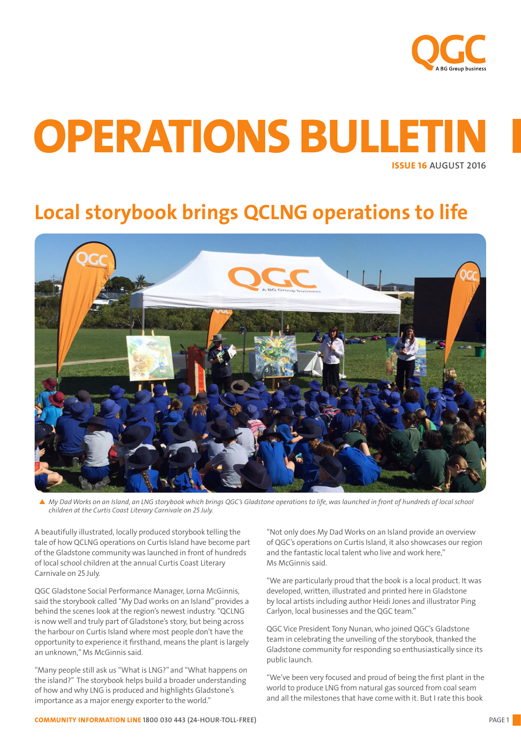

# ISSUE 16 AUGUST 2016 OPERATIONS BULLETIN

## Local storybook brings QCLNG operations to life



p *My Dad Works on an Island, an LNG storybook which brings QGC's Gladstone operations to life, was launched in front of hundreds of local school children at the Curtis Coast Literary Carnivale on 25 July.*

A beautifully illustrated, locally produced storybook telling the tale of how QCLNG operations on Curtis Island have become part of the Gladstone community was launched in front of hundreds of local school children at the annual Curtis Coast Literary Carnivale on 25 July.

QGC Gladstone Social Performance Manager, Lorna McGinnis, said the storybook called "My Dad works on an Island" provides a behind the scenes look at the region's newest industry. "QCLNG is now well and truly part of Gladstone's story, but being across the harbour on Curtis Island where most people don't have the opportunity to experience it firsthand, means the plant is largely an unknown," Ms McGinnis said.

"Many people still ask us "What is LNG?" and "What happens on the island?" The storybook helps build a broader understanding of how and why LNG is produced and highlights Gladstone's importance as a major energy exporter to the world."

"Not only does My Dad Works on an Island provide an overview of QGC's operations on Curtis Island, it also showcases our region and the fantastic local talent who live and work here," Ms McGinnis said.

"We are particularly proud that the book is a local product. It was developed, written, illustrated and printed here in Gladstone by local artists including author Heidi Jones and illustrator Ping Carlyon, local businesses and the QGC team."

QGC Vice President Tony Nunan, who joined QGC's Gladstone team in celebrating the unveiling of the storybook, thanked the Gladstone community for responding so enthusiastically since its public launch.

"We've been very focused and proud of being the first plant in the world to produce LNG from natural gas sourced from coal seam and all the milestones that have come with it. But I rate this book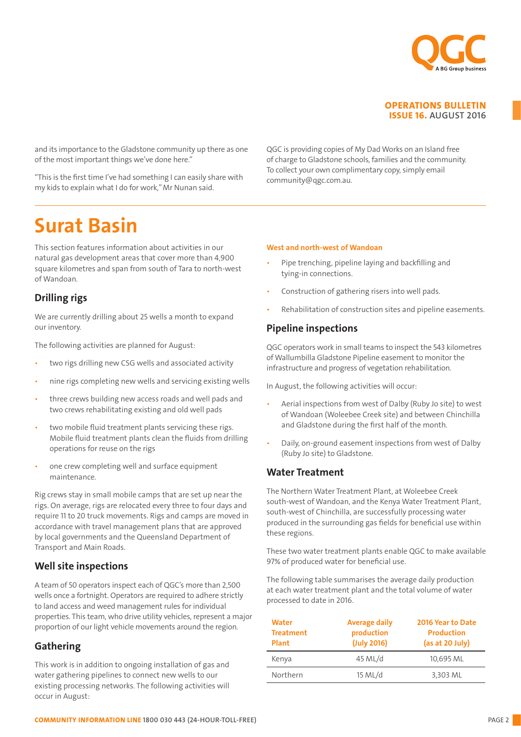

and its importance to the Gladstone community up there as one of the most important things we've done here."

"This is the first time I've had something I can easily share with my kids to explain what I do for work," Mr Nunan said.

QGC is providing copies of My Dad Works on an Island free of charge to Gladstone schools, families and the community. To collect your own complimentary copy, simply email community@qgc.com.au.

## Surat Basin

This section features information about activities in our natural gas development areas that cover more than 4,900 square kilometres and span from south of Tara to north-west of Wandoan.

## Drilling rigs

We are currently drilling about 25 wells a month to expand our inventory.

The following activities are planned for August:

- two rigs drilling new CSG wells and associated activity
- nine rigs completing new wells and servicing existing wells
- three crews building new access roads and well pads and two crews rehabilitating existing and old well pads
- two mobile fluid treatment plants servicing these rigs. Mobile fluid treatment plants clean the fluids from drilling operations for reuse on the rigs
- one crew completing well and surface equipment maintenance.

Rig crews stay in small mobile camps that are set up near the rigs. On average, rigs are relocated every three to four days and require 11 to 20 truck movements. Rigs and camps are moved in accordance with travel management plans that are approved by local governments and the Queensland Department of Transport and Main Roads.

## Well site inspections

A team of 50 operators inspect each of QGC's more than 2,500 wells once a fortnight. Operators are required to adhere strictly to land access and weed management rules for individual properties. This team, who drive utility vehicles, represent a major proportion of our light vehicle movements around the region.

## Gathering

This work is in addition to ongoing installation of gas and water gathering pipelines to connect new wells to our existing processing networks. The following activities will occur in August:

### West and north-west of Wandoan

- Pipe trenching, pipeline laying and backfilling and tying-in connections.
- Construction of gathering risers into well pads.
- Rehabilitation of construction sites and pipeline easements.

## Pipeline inspections

QGC operators work in small teams to inspect the 543 kilometres of Wallumbilla Gladstone Pipeline easement to monitor the infrastructure and progress of vegetation rehabilitation.

In August, the following activities will occur:

- Aerial inspections from west of Dalby (Ruby Jo site) to west of Wandoan (Woleebee Creek site) and between Chinchilla and Gladstone during the first half of the month.
- Daily, on-ground easement inspections from west of Dalby (Ruby Jo site) to Gladstone.

### Water Treatment

The Northern Water Treatment Plant, at Woleebee Creek south-west of Wandoan, and the Kenya Water Treatment Plant, south-west of Chinchilla, are successfully processing water produced in the surrounding gas fields for beneficial use within these regions.

These two water treatment plants enable QGC to make available 97% of produced water for beneficial use.

The following table summarises the average daily production at each water treatment plant and the total volume of water processed to date in 2016.

| Water<br><b>Treatment</b><br><b>Plant</b> | <b>Average daily</b><br>production<br>(July 2016) | 2016 Year to Date<br><b>Production</b><br>(as at 20 July) |
|-------------------------------------------|---------------------------------------------------|-----------------------------------------------------------|
| Kenya                                     | 45 ML/d                                           | 10,695 ML                                                 |
| Northern                                  | 15 ML/d                                           | 3,303 ML                                                  |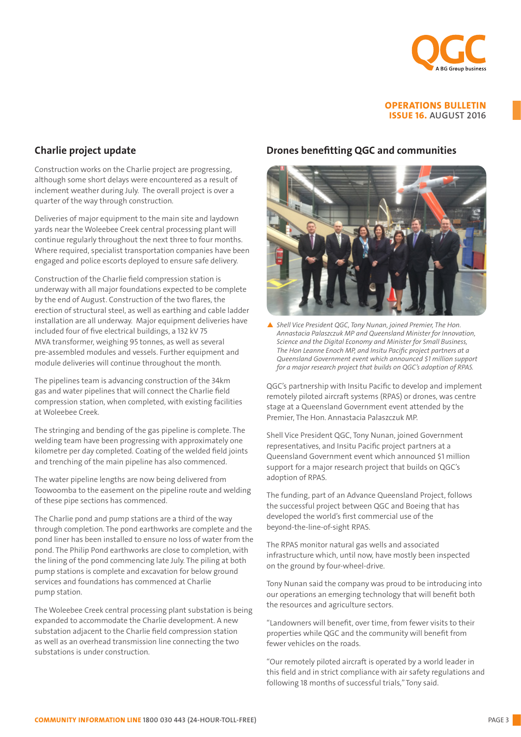

## Charlie project update

Construction works on the Charlie project are progressing, although some short delays were encountered as a result of inclement weather during July. The overall project is over a quarter of the way through construction.

Deliveries of major equipment to the main site and laydown yards near the Woleebee Creek central processing plant will continue regularly throughout the next three to four months. Where required, specialist transportation companies have been engaged and police escorts deployed to ensure safe delivery.

Construction of the Charlie field compression station is underway with all major foundations expected to be complete by the end of August. Construction of the two flares, the erection of structural steel, as well as earthing and cable ladder installation are all underway. Major equipment deliveries have included four of five electrical buildings, a 132 kV 75 MVA transformer, weighing 95 tonnes, as well as several pre-assembled modules and vessels. Further equipment and module deliveries will continue throughout the month.

The pipelines team is advancing construction of the 34km gas and water pipelines that will connect the Charlie field compression station, when completed, with existing facilities at Woleebee Creek.

The stringing and bending of the gas pipeline is complete. The welding team have been progressing with approximately one kilometre per day completed. Coating of the welded field joints and trenching of the main pipeline has also commenced.

The water pipeline lengths are now being delivered from Toowoomba to the easement on the pipeline route and welding of these pipe sections has commenced.

The Charlie pond and pump stations are a third of the way through completion. The pond earthworks are complete and the pond liner has been installed to ensure no loss of water from the pond. The Philip Pond earthworks are close to completion, with the lining of the pond commencing late July. The piling at both pump stations is complete and excavation for below ground services and foundations has commenced at Charlie pump station.

The Woleebee Creek central processing plant substation is being expanded to accommodate the Charlie development. A new substation adjacent to the Charlie field compression station as well as an overhead transmission line connecting the two substations is under construction.

### Drones benefitting QGC and communities



▲ Shell Vice President QGC, Tony Nunan, joined Premier, The Hon. *Annastacia Palaszczuk MP and Queensland Minister for Innovation, Science and the Digital Economy and Minister for Small Business, The Hon Leanne Enoch MP, and Insitu Pacific project partners at a Queensland Government event which announced \$1 million support for a major research project that builds on QGC's adoption of RPAS.*

QGC's partnership with Insitu Pacific to develop and implement remotely piloted aircraft systems (RPAS) or drones, was centre stage at a Queensland Government event attended by the Premier, The Hon. Annastacia Palaszczuk MP.

Shell Vice President QGC, Tony Nunan, joined Government representatives, and Insitu Pacific project partners at a Queensland Government event which announced \$1 million support for a major research project that builds on QGC's adoption of RPAS.

The funding, part of an Advance Queensland Project, follows the successful project between QGC and Boeing that has developed the world's first commercial use of the beyond-the-line-of-sight RPAS.

The RPAS monitor natural gas wells and associated infrastructure which, until now, have mostly been inspected on the ground by four-wheel-drive.

Tony Nunan said the company was proud to be introducing into our operations an emerging technology that will benefit both the resources and agriculture sectors.

"Landowners will benefit, over time, from fewer visits to their properties while QGC and the community will benefit from fewer vehicles on the roads.

"Our remotely piloted aircraft is operated by a world leader in this field and in strict compliance with air safety regulations and following 18 months of successful trials," Tony said.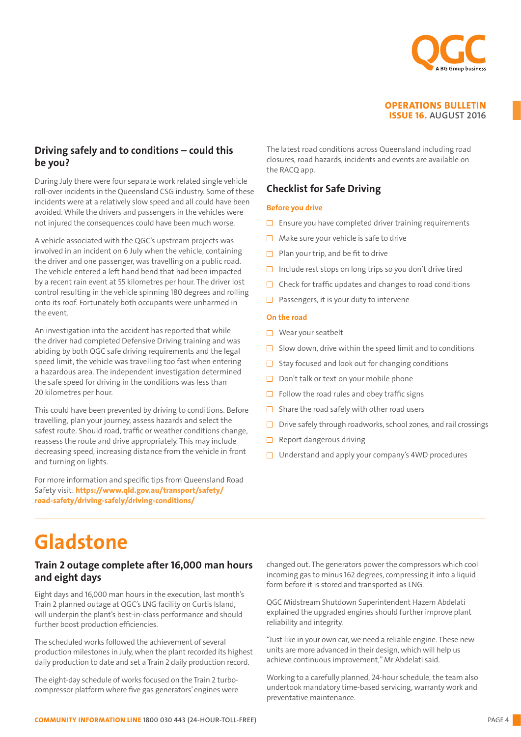

## Driving safely and to conditions – could this be you?

During July there were four separate work related single vehicle roll-over incidents in the Queensland CSG industry. Some of these incidents were at a relatively slow speed and all could have been avoided. While the drivers and passengers in the vehicles were not injured the consequences could have been much worse.

A vehicle associated with the QGC's upstream projects was involved in an incident on 6 July when the vehicle, containing the driver and one passenger, was travelling on a public road. The vehicle entered a left hand bend that had been impacted by a recent rain event at 55 kilometres per hour. The driver lost control resulting in the vehicle spinning 180 degrees and rolling onto its roof. Fortunately both occupants were unharmed in the event.

An investigation into the accident has reported that while the driver had completed Defensive Driving training and was abiding by both QGC safe driving requirements and the legal speed limit, the vehicle was travelling too fast when entering a hazardous area. The independent investigation determined the safe speed for driving in the conditions was less than 20 kilometres per hour.

This could have been prevented by driving to conditions. Before travelling, plan your journey, assess hazards and select the safest route. Should road, traffic or weather conditions change, reassess the route and drive appropriately. This may include decreasing speed, increasing distance from the vehicle in front and turning on lights.

For more information and specific tips from Queensland Road Safety visit: https://www.qld.gov.au/transport/safety/ road-safety/driving-safely/driving-conditions/

The latest road conditions across Queensland including road closures, road hazards, incidents and events are available on the RACO app.

## Checklist for Safe Driving

### Before you drive

- $\square$  Ensure you have completed driver training requirements
- $\Box$  Make sure your vehicle is safe to drive
- $\Box$  Plan your trip, and be fit to drive
- $\Box$  Include rest stops on long trips so you don't drive tired
- $\Box$  Check for traffic updates and changes to road conditions
- $\Box$  Passengers, it is your duty to intervene

#### On the road

- Wear your seatbelt
- $\Box$  Slow down, drive within the speed limit and to conditions
- $\Box$  Stay focused and look out for changing conditions
- $\Box$  Don't talk or text on your mobile phone
- $\Box$  Follow the road rules and obey traffic signs
- $\Box$  Share the road safely with other road users
- $\Box$  Drive safely through roadworks, school zones, and rail crossings
- $\Box$  Report dangerous driving
- $\Box$  Understand and apply your company's 4WD procedures

## Gladstone

### Train 2 outage complete after 16,000 man hours and eight days

Eight days and 16,000 man hours in the execution, last month's Train 2 planned outage at QGC's LNG facility on Curtis Island, will underpin the plant's best-in-class performance and should further boost production efficiencies.

The scheduled works followed the achievement of several production milestones in July, when the plant recorded its highest daily production to date and set a Train 2 daily production record.

The eight-day schedule of works focused on the Train 2 turbocompressor platform where five gas generators' engines were

changed out. The generators power the compressors which cool incoming gas to minus 162 degrees, compressing it into a liquid form before it is stored and transported as LNG.

QGC Midstream Shutdown Superintendent Hazem Abdelati explained the upgraded engines should further improve plant reliability and integrity.

"Just like in your own car, we need a reliable engine. These new units are more advanced in their design, which will help us achieve continuous improvement," Mr Abdelati said.

Working to a carefully planned, 24-hour schedule, the team also undertook mandatory time-based servicing, warranty work and preventative maintenance.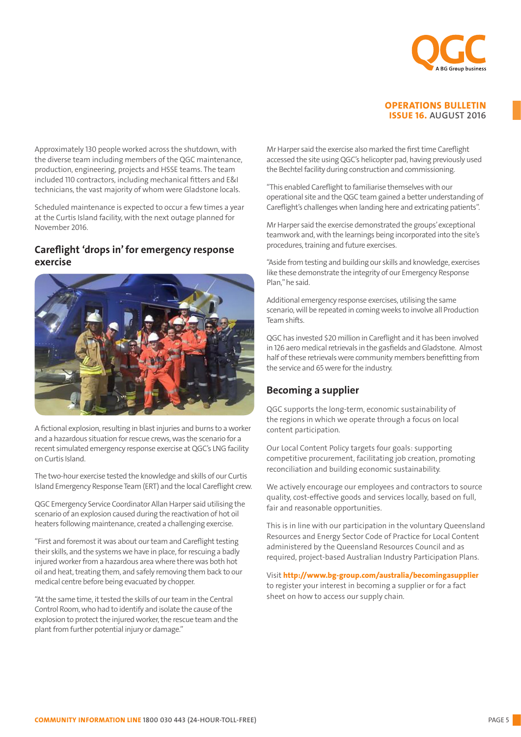

Approximately 130 people worked across the shutdown, with the diverse team including members of the QGC maintenance, production, engineering, projects and HSSE teams. The team included 110 contractors, including mechanical fitters and E&I technicians, the vast majority of whom were Gladstone locals.

Scheduled maintenance is expected to occur a few times a year at the Curtis Island facility, with the next outage planned for November 2016.

### Careflight 'drops in' for emergency response exercise



A fictional explosion, resulting in blast injuries and burns to a worker and a hazardous situation for rescue crews, was the scenario for a recent simulated emergency response exercise at QGC's LNG facility on Curtis Island.

The two-hour exercise tested the knowledge and skills of our Curtis Island Emergency Response Team (ERT) and the local Careflight crew.

QGC Emergency Service Coordinator Allan Harper said utilising the scenario of an explosion caused during the reactivation of hot oil heaters following maintenance, created a challenging exercise.

"First and foremost it was about our team and Careflight testing their skills, and the systems we have in place, for rescuing a badly injured worker from a hazardous area where there was both hot oil and heat, treating them, and safely removing them back to our medical centre before being evacuated by chopper.

"At the same time, it tested the skills of our team in the Central Control Room, who had to identify and isolate the cause of the explosion to protect the injured worker, the rescue team and the plant from further potential injury or damage."

Mr Harper said the exercise also marked the first time Careflight accessed the site using QGC's helicopter pad, having previously used the Bechtel facility during construction and commissioning.

"This enabled Careflight to familiarise themselves with our operational site and the QGC team gained a better understanding of Careflight's challenges when landing here and extricating patients".

Mr Harper said the exercise demonstrated the groups' exceptional teamwork and, with the learnings being incorporated into the site's procedures, training and future exercises.

"Aside from testing and building our skills and knowledge, exercises like these demonstrate the integrity of our Emergency Response Plan," he said.

Additional emergency response exercises, utilising the same scenario, will be repeated in coming weeks to involve all Production Team shifts.

QGC has invested \$20 million in Careflight and it has been involved in 126 aero medical retrievals in the gasfields and Gladstone. Almost half of these retrievals were community members benefitting from the service and 65 were for the industry.

### Becoming a supplier

QGC supports the long-term, economic sustainability of the regions in which we operate through a focus on local content participation.

Our Local Content Policy targets four goals: supporting competitive procurement, facilitating job creation, promoting reconciliation and building economic sustainability.

We actively encourage our employees and contractors to source quality, cost-effective goods and services locally, based on full, fair and reasonable opportunities.

This is in line with our participation in the voluntary Queensland Resources and Energy Sector Code of Practice for Local Content administered by the Queensland Resources Council and as required, project-based Australian Industry Participation Plans.

Visit http://www.bg-group.com/australia/becomingasupplier to register your interest in becoming a supplier or for a fact sheet on how to access our supply chain.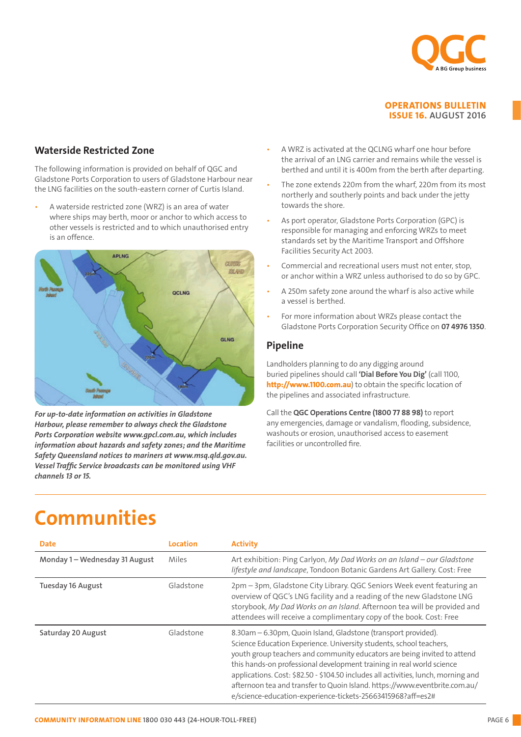

### Waterside Restricted Zone

The following information is provided on behalf of QGC and Gladstone Ports Corporation to users of Gladstone Harbour near the LNG facilities on the south-eastern corner of Curtis Island.

• A waterside restricted zone (WRZ) is an area of water The following information is provided on the following control of AS port operator, Gladstone Ports Corporation (GPC) is<br>The formation to use of Gladstone Harbour near the LNG Cladstone Harbour near the LNG is the MR7s to where ships may berth, moor or anchor to which access to is an offence.



Harbour, please remember to always check the Gladstone Ports Corporation website www.gpcl.com.au, which includes information about hazards and safety zones; and the Maritime  $\frac{1}{\sqrt{2}}$ Safety Queensland notices to mariners at www.msq.qld.gov.au. *For up-to-date information on activities in Gladstone Vessel Traffic Service broadcasts can be monitored using VHF channels 13 or 15.*

- the arrival of an LNG carrier and remains while the vessel is berthed and until it is 400m from the berth after departing. • A WRZ is activated at the QCLNG wharf one hour before
- The zone extends 220m from the wharf, 220m from its most northerly and southerly points and back under the jetty towards the shore.
- facilities on the south-eastern corner of Curtis Island. A waterside responsible for managing and emorcing wkzs to meet<br>standards set by the Maritime Transport and Offshore standards set by the Maritime Transport and Off Facilities Security Act 2003. As port operator, Gladstone Ports Corporation (GPC) is responsible for managing and enforcing WRZs to meet
	- Commercial and recreational users must not enter, stop, an offence. or anchor within a WRZ unless authorised to do so by GPC.
	- $\overline{a}$  and  $\overline{a}$  is active at the  $\overline{a}$  what the  $\overline{a}$  whose  $\overline{a}$  whose  $\overline{a}$  whose  $\overline{a}$  whose  $\overline{a}$  whose  $\overline{a}$  whose  $\overline{a}$  whose  $\overline{a}$  whose  $\overline{a}$  whose  $\overline{a}$  whose  $\overline{a}$  whose • A 250m safety zone around the wharf is also active while  $\overline{\phantom{a}}$ berthed and until it is 400m from the berth after department. a vessel is berthed.
	- For more information about WRZs please contact the Gladstone Ports Corporation Security Office on **07 4976 1350**.

### Pipeline • As port operator, Gladstone Ports Corporation (GPC) is

Landholders planning to do any digging around buried pipelines should call **'Dial Before You Dig'** (call 1100, http://www.1100.com.au) to obtain the specific location of the pipelines and associated infrastructure.

Call the QGC Operations Centre (1800 77 88 98) to report any emergencies, damage or vandalism, flooding, subsidence, washouts or erosion, unauthorised access to easement achities of uncontrolled fire. facilities or uncontrolled fire.

## Pipeline (1989)<br>Pipeline (1989)<br>Pipeline (1989) Landholders planning to do any digging around buried pipelines should call 'Dial Before You Dig' (call 1100, http://www.1100.com.au) Communities

| <b>Date</b>                    | Location  | <b>Activity</b>                                                                                                                                                                                                                                                                                                                                                                                                                                                                                                               |
|--------------------------------|-----------|-------------------------------------------------------------------------------------------------------------------------------------------------------------------------------------------------------------------------------------------------------------------------------------------------------------------------------------------------------------------------------------------------------------------------------------------------------------------------------------------------------------------------------|
| Monday 1 - Wednesday 31 August | Miles     | Art exhibition: Ping Carlyon, My Dad Works on an Island - our Gladstone<br>lifestyle and landscape, Tondoon Botanic Gardens Art Gallery. Cost: Free                                                                                                                                                                                                                                                                                                                                                                           |
| <b>Tuesday 16 August</b>       | Gladstone | 2pm - 3pm, Gladstone City Library. QGC Seniors Week event featuring an<br>overview of QGC's LNG facility and a reading of the new Gladstone LNG<br>storybook, My Dad Works on an Island. Afternoon tea will be provided and<br>attendees will receive a complimentary copy of the book. Cost: Free                                                                                                                                                                                                                            |
| Saturday 20 August             | Gladstone | 8.30am – 6.30pm, Quoin Island, Gladstone (transport provided).<br>Science Education Experience. University students, school teachers,<br>youth group teachers and community educators are being invited to attend<br>this hands-on professional development training in real world science<br>applications. Cost: \$82.50 - \$104.50 includes all activities, lunch, morning and<br>afternoon tea and transfer to Quoin Island. https://www.eventbrite.com.au/<br>e/science-education-experience-tickets-25663415968?aff=es2# |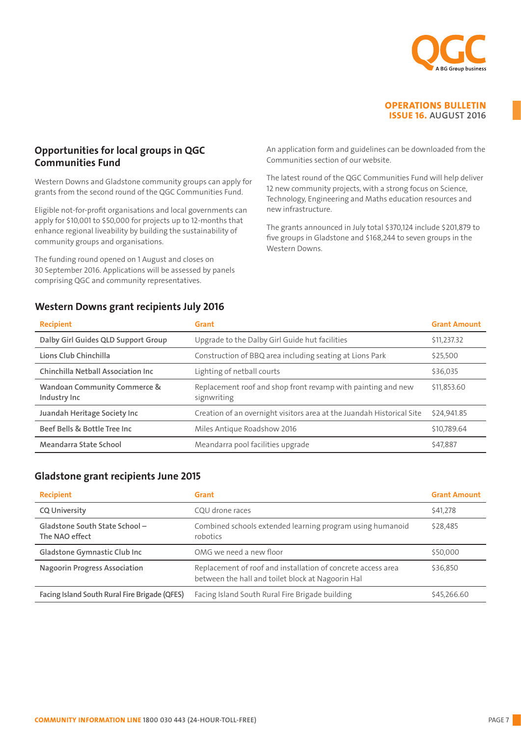

### Opportunities for local groups in QGC Communities Fund

Western Downs and Gladstone community groups can apply for grants from the second round of the QGC Communities Fund.

Eligible not-for-profit organisations and local governments can apply for \$10,001 to \$50,000 for projects up to 12-months that enhance regional liveability by building the sustainability of community groups and organisations.

The funding round opened on 1 August and closes on 30 September 2016. Applications will be assessed by panels comprising QGC and community representatives.

## Western Downs grant recipients July 2016

An application form and guidelines can be downloaded from the Communities section of our website.

The latest round of the QGC Communities Fund will help deliver 12 new community projects, with a strong focus on Science, Technology, Engineering and Maths education resources and new infrastructure.

The grants announced in July total \$370,124 include \$201,879 to five groups in Gladstone and \$168,244 to seven groups in the Western Downs.

| <b>Recipient</b>                                        | Grant                                                                       | <b>Grant Amount</b> |
|---------------------------------------------------------|-----------------------------------------------------------------------------|---------------------|
| Dalby Girl Guides QLD Support Group                     | Upgrade to the Dalby Girl Guide hut facilities                              | \$11,237.32         |
| Lions Club Chinchilla                                   | Construction of BBQ area including seating at Lions Park                    | \$25,500            |
| <b>Chinchilla Netball Association Inc.</b>              | Lighting of netball courts                                                  | \$36,035            |
| <b>Wandoan Community Commerce &amp;</b><br>Industry Inc | Replacement roof and shop front revamp with painting and new<br>signwriting | \$11,853.60         |
| Juandah Heritage Society Inc                            | Creation of an overnight visitors area at the Juandah Historical Site       | \$24,941.85         |
| Beef Bells & Bottle Tree Inc                            | Miles Antique Roadshow 2016                                                 | \$10.789.64         |
| Meandarra State School                                  | Meandarra pool facilities upgrade                                           | \$47.887            |

### Gladstone grant recipients June 2015

| <b>Recipient</b>                                | Grant                                                                                                             | <b>Grant Amount</b> |
|-------------------------------------------------|-------------------------------------------------------------------------------------------------------------------|---------------------|
| <b>CQ University</b>                            | COU drone races                                                                                                   | \$41,278            |
| Gladstone South State School-<br>The NAO effect | Combined schools extended learning program using humanoid<br>robotics                                             | \$28,485            |
| Gladstone Gymnastic Club Inc                    | OMG we need a new floor                                                                                           | \$50,000            |
| <b>Nagoorin Progress Association</b>            | Replacement of roof and installation of concrete access area<br>between the hall and toilet block at Nagoorin Hal | \$36,850            |
| Facing Island South Rural Fire Brigade (QFES)   | Facing Island South Rural Fire Brigade building                                                                   | \$45,266.60         |